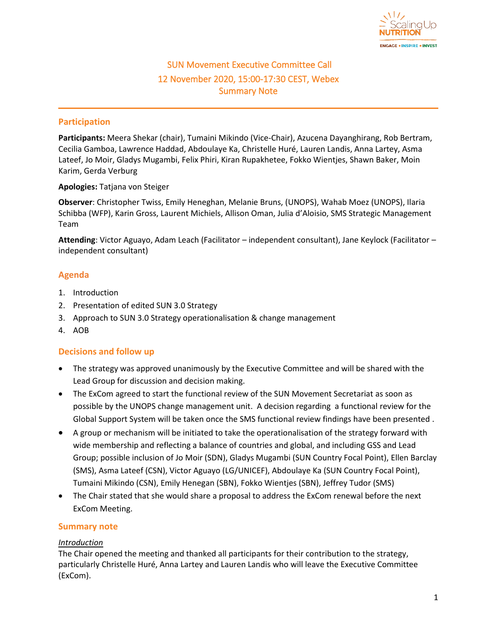

# SUN Movement Executive Committee Call 12 November 2020, 15:00-17:30 CEST, Webex Summary Note

#### **Participation**

**Participants:** Meera Shekar (chair), Tumaini Mikindo (Vice-Chair), Azucena Dayanghirang, Rob Bertram, Cecilia Gamboa, Lawrence Haddad, Abdoulaye Ka, Christelle Huré, Lauren Landis, Anna Lartey, Asma Lateef, Jo Moir, Gladys Mugambi, Felix Phiri, Kiran Rupakhetee, Fokko Wientjes, Shawn Baker, Moin Karim, Gerda Verburg

**Apologies:** Tatjana von Steiger

**Observer**: Christopher Twiss, Emily Heneghan, Melanie Bruns, (UNOPS), Wahab Moez (UNOPS), Ilaria Schibba (WFP), Karin Gross, Laurent Michiels, Allison Oman, Julia d'Aloisio, SMS Strategic Management Team

**Attending**: Victor Aguayo, Adam Leach (Facilitator – independent consultant), Jane Keylock (Facilitator – independent consultant)

## **Agenda**

- 1. Introduction
- 2. Presentation of edited SUN 3.0 Strategy
- 3. Approach to SUN 3.0 Strategy operationalisation & change management
- 4. AOB

## **Decisions and follow up**

- The strategy was approved unanimously by the Executive Committee and will be shared with the Lead Group for discussion and decision making.
- The ExCom agreed to start the functional review of the SUN Movement Secretariat as soon as possible by the UNOPS change management unit. A decision regarding a functional review for the Global Support System will be taken once the SMS functional review findings have been presented .
- A group or mechanism will be initiated to take the operationalisation of the strategy forward with wide membership and reflecting a balance of countries and global, and including GSS and Lead Group; possible inclusion of Jo Moir (SDN), Gladys Mugambi (SUN Country Focal Point), Ellen Barclay (SMS), Asma Lateef (CSN), Victor Aguayo (LG/UNICEF), Abdoulaye Ka (SUN Country Focal Point), Tumaini Mikindo (CSN), Emily Henegan (SBN), Fokko Wientjes (SBN), Jeffrey Tudor (SMS)
- The Chair stated that she would share a proposal to address the ExCom renewal before the next ExCom Meeting.

## **Summary note**

#### *Introduction*

The Chair opened the meeting and thanked all participants for their contribution to the strategy, particularly Christelle Huré, Anna Lartey and Lauren Landis who will leave the Executive Committee (ExCom).